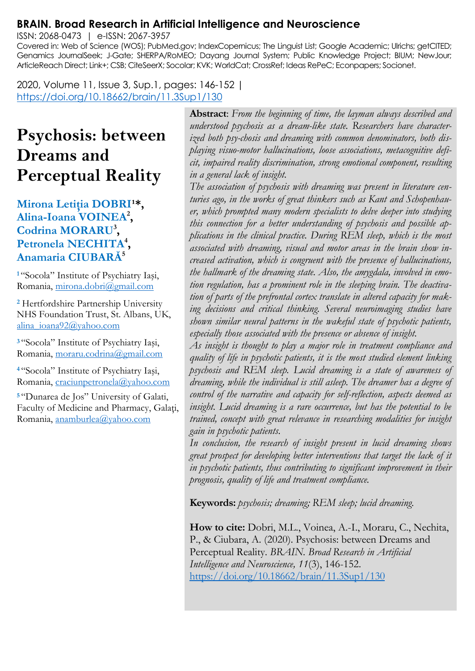## **BRAIN. Broad Research in Artificial Intelligence and Neuroscience**

ISSN: 2068-0473 | e-ISSN: 2067-3957

Covered in: Web of Science (WOS); PubMed.gov; IndexCopernicus; The Linguist List; Google Academic; Ulrichs; getCITED; Genamics JournalSeek; J-Gate; SHERPA/RoMEO; Dayang Journal System; Public Knowledge Project; BIUM; NewJour; ArticleReach Direct; Link+; CSB; CiteSeerX; Socolar; KVK; WorldCat; CrossRef; Ideas RePeC; Econpapers; Socionet.

2020, Volume 11, Issue 3, Sup.1, pages: 146-152 | <https://doi.org/10.18662/brain/11.3Sup1/130>

# **Psychosis: between Dreams and Perceptual Reality**

#### Mirona Letitia DOBRI<sup>1\*</sup>, **Alina-Ioana VOINEA<sup>2</sup> , Codrina MORARU<sup>3</sup> , Petronela NECHITA<sup>4</sup> , Anamaria CIUBARĂ<sup>5</sup>**

**<sup>1</sup>**"Socola" Institute of Psychiatry Iaşi, Romania, [mirona.dobri@gmail.com](mailto:mirona.dobri@gmail.com)

**<sup>2</sup>** Hertfordshire Partnership University NHS Foundation Trust, St. Albans, UK, [alina\\_ioana92@yahoo.com](mailto:alina_ioana92@yahoo.com)

**<sup>3</sup>**"Socola" Institute of Psychiatry Iaşi, Romania, [moraru.codrina@gmail.com](mailto:moraru.codrina@gmail.com)

**<sup>4</sup>**"Socola" Institute of Psychiatry Iaşi, Romania, [craciunpetronela@yahoo.com](mailto:craciunpetronela@yahoo.com)

**<sup>5</sup>**"Dunarea de Jos" University of Galati, Faculty of Medicine and Pharmacy, Galaţi, Romania, [anamburlea@yahoo.com](mailto:anamburlea@yahoo.com)

**Abstract**: *From the beginning of time, the layman always described and understood psychosis as a dream-like state. Researchers have characterized both psy-chosis and dreaming with common denominators, both displaying visuo-motor hallucinations, loose associations, metacognitive deficit, impaired reality discrimination, strong emotional component, resulting in a general lack of insight.*

*The association of psychosis with dreaming was present in literature centuries ago, in the works of great thinkers such as Kant and Schopenhauer, which prompted many modern specialists to delve deeper into studying this connection for a better understanding of psychosis and possible applications in the clinical practice. During REM sleep, which is the most associated with dreaming, visual and motor areas in the brain show increased activation, which is congruent with the presence of hallucinations, the hallmark of the dreaming state. Also, the amygdala, involved in emotion regulation, has a prominent role in the sleeping brain. The deactivation of parts of the prefrontal cortex translate in altered capacity for making decisions and critical thinking. Several neuroimaging studies have shown similar neural patterns in the wakeful state of psychotic patients, especially those associated with the presence or absence of insight.*

*As insight is thought to play a major role in treatment compliance and quality of life in psychotic patients, it is the most studied element linking psychosis and REM sleep. Lucid dreaming is a state of awareness of dreaming, while the individual is still asleep. The dreamer has a degree of control of the narrative and capacity for self-reflection, aspects deemed as insight. Lucid dreaming is a rare occurrence, but has the potential to be trained, concept with great relevance in researching modalities for insight gain in psychotic patients.*

*In conclusion, the research of insight present in lucid dreaming shows great prospect for developing better interventions that target the lack of it in psychotic patients, thus contributing to significant improvement in their prognosis, quality of life and treatment compliance.*

**Keywords:** *psychosis; dreaming; REM sleep; lucid dreaming.*

**How to cite:** Dobri, M.L., Voinea, A.-I., Moraru, C., Nechita, P., & Ciubara, A. (2020). Psychosis: between Dreams and Perceptual Reality. *BRAIN. Broad Research in Artificial Intelligence and Neuroscience, 11*(3), 146-152. <https://doi.org/10.18662/brain/11.3Sup1/130>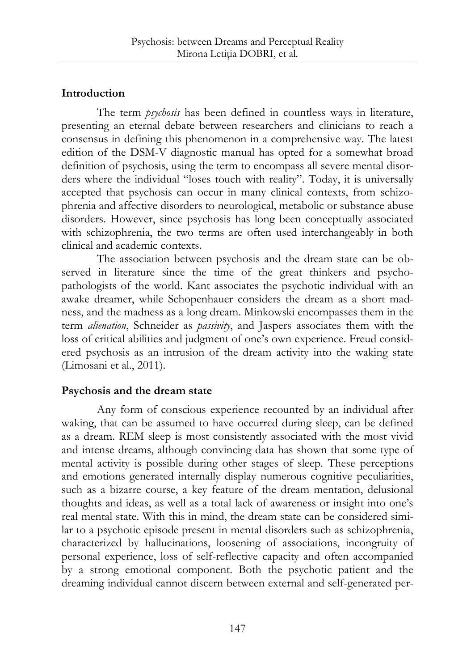## **Introduction**

The term *psychosis* has been defined in countless ways in literature, presenting an eternal debate between researchers and clinicians to reach a consensus in defining this phenomenon in a comprehensive way. The latest edition of the DSM-V diagnostic manual has opted for a somewhat broad definition of psychosis, using the term to encompass all severe mental disorders where the individual "loses touch with reality". Today, it is universally accepted that psychosis can occur in many clinical contexts, from schizophrenia and affective disorders to neurological, metabolic or substance abuse disorders. However, since psychosis has long been conceptually associated with schizophrenia, the two terms are often used interchangeably in both clinical and academic contexts.

The association between psychosis and the dream state can be observed in literature since the time of the great thinkers and psychopathologists of the world. Kant associates the psychotic individual with an awake dreamer, while Schopenhauer considers the dream as a short madness, and the madness as a long dream. Minkowski encompasses them in the term *alienation*, Schneider as *passivity*, and Jaspers associates them with the loss of critical abilities and judgment of one's own experience. Freud considered psychosis as an intrusion of the dream activity into the waking state (Limosani et al., 2011).

## **Psychosis and the dream state**

Any form of conscious experience recounted by an individual after waking, that can be assumed to have occurred during sleep, can be defined as a dream. REM sleep is most consistently associated with the most vivid and intense dreams, although convincing data has shown that some type of mental activity is possible during other stages of sleep. These perceptions and emotions generated internally display numerous cognitive peculiarities, such as a bizarre course, a key feature of the dream mentation, delusional thoughts and ideas, as well as a total lack of awareness or insight into one's real mental state. With this in mind, the dream state can be considered similar to a psychotic episode present in mental disorders such as schizophrenia, characterized by hallucinations, loosening of associations, incongruity of personal experience, loss of self-reflective capacity and often accompanied by a strong emotional component. Both the psychotic patient and the dreaming individual cannot discern between external and self-generated per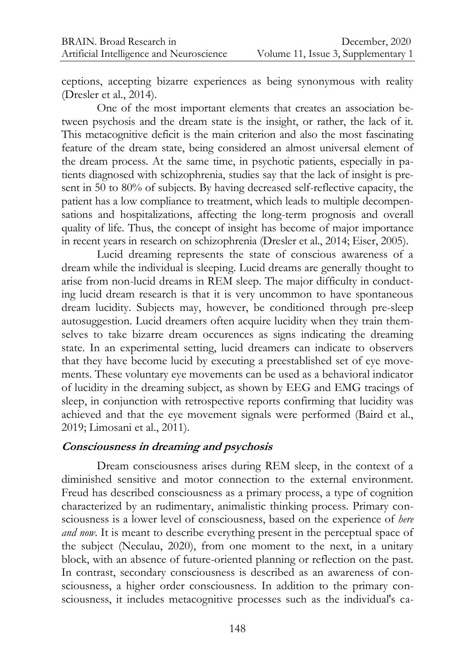ceptions, accepting bizarre experiences as being synonymous with reality (Dresler et al., 2014).

One of the most important elements that creates an association between psychosis and the dream state is the insight, or rather, the lack of it. This metacognitive deficit is the main criterion and also the most fascinating feature of the dream state, being considered an almost universal element of the dream process. At the same time, in psychotic patients, especially in patients diagnosed with schizophrenia, studies say that the lack of insight is present in 50 to 80% of subjects. By having decreased self-reflective capacity, the patient has a low compliance to treatment, which leads to multiple decompensations and hospitalizations, affecting the long-term prognosis and overall quality of life. Thus, the concept of insight has become of major importance in recent years in research on schizophrenia (Dresler et al., 2014; Eiser, 2005).

Lucid dreaming represents the state of conscious awareness of a dream while the individual is sleeping. Lucid dreams are generally thought to arise from non-lucid dreams in REM sleep. The major difficulty in conducting lucid dream research is that it is very uncommon to have spontaneous dream lucidity. Subjects may, however, be conditioned through pre-sleep autosuggestion. Lucid dreamers often acquire lucidity when they train themselves to take bizarre dream occurences as signs indicating the dreaming state. In an experimental setting, lucid dreamers can indicate to observers that they have become lucid by executing a preestablished set of eye movements. These voluntary eye movements can be used as a behavioral indicator of lucidity in the dreaming subject, as shown by EEG and EMG tracings of sleep, in conjunction with retrospective reports confirming that lucidity was achieved and that the eye movement signals were performed (Baird et al., 2019; Limosani et al., 2011).

#### **Consciousness in dreaming and psychosis**

Dream consciousness arises during REM sleep, in the context of a diminished sensitive and motor connection to the external environment. Freud has described consciousness as a primary process, a type of cognition characterized by an rudimentary, animalistic thinking process. Primary consciousness is a lower level of consciousness, based on the experience of *here and now*. It is meant to describe everything present in the perceptual space of the subject (Neculau, 2020), from one moment to the next, in a unitary block, with an absence of future-oriented planning or reflection on the past. In contrast, secondary consciousness is described as an awareness of consciousness, a higher order consciousness. In addition to the primary consciousness, it includes metacognitive processes such as the individual's ca-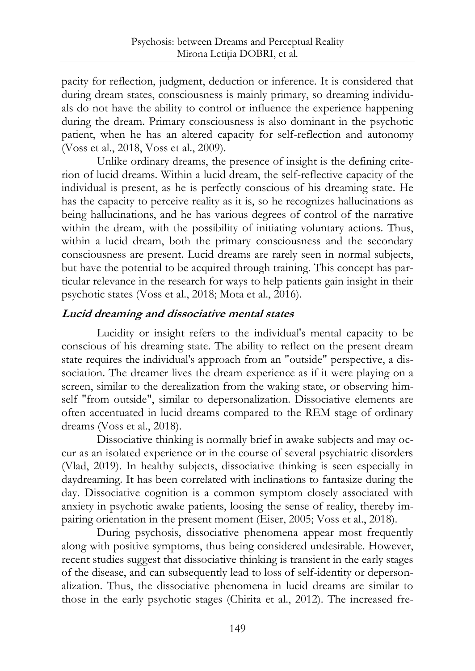pacity for reflection, judgment, deduction or inference. It is considered that during dream states, consciousness is mainly primary, so dreaming individuals do not have the ability to control or influence the experience happening during the dream. Primary consciousness is also dominant in the psychotic patient, when he has an altered capacity for self-reflection and autonomy (Voss et al., 2018, Voss et al., 2009).

Unlike ordinary dreams, the presence of insight is the defining criterion of lucid dreams. Within a lucid dream, the self-reflective capacity of the individual is present, as he is perfectly conscious of his dreaming state. He has the capacity to perceive reality as it is, so he recognizes hallucinations as being hallucinations, and he has various degrees of control of the narrative within the dream, with the possibility of initiating voluntary actions. Thus, within a lucid dream, both the primary consciousness and the secondary consciousness are present. Lucid dreams are rarely seen in normal subjects, but have the potential to be acquired through training. This concept has particular relevance in the research for ways to help patients gain insight in their psychotic states (Voss et al., 2018; Mota et al., 2016).

### **Lucid dreaming and dissociative mental states**

Lucidity or insight refers to the individual's mental capacity to be conscious of his dreaming state. The ability to reflect on the present dream state requires the individual's approach from an "outside" perspective, a dissociation. The dreamer lives the dream experience as if it were playing on a screen, similar to the derealization from the waking state, or observing himself "from outside", similar to depersonalization. Dissociative elements are often accentuated in lucid dreams compared to the REM stage of ordinary dreams (Voss et al., 2018).

Dissociative thinking is normally brief in awake subjects and may occur as an isolated experience or in the course of several psychiatric disorders (Vlad, 2019). In healthy subjects, dissociative thinking is seen especially in daydreaming. It has been correlated with inclinations to fantasize during the day. Dissociative cognition is a common symptom closely associated with anxiety in psychotic awake patients, loosing the sense of reality, thereby impairing orientation in the present moment (Eiser, 2005; Voss et al., 2018).

During psychosis, dissociative phenomena appear most frequently along with positive symptoms, thus being considered undesirable. However, recent studies suggest that dissociative thinking is transient in the early stages of the disease, and can subsequently lead to loss of self-identity or depersonalization. Thus, the dissociative phenomena in lucid dreams are similar to those in the early psychotic stages (Chirita et al., 2012). The increased fre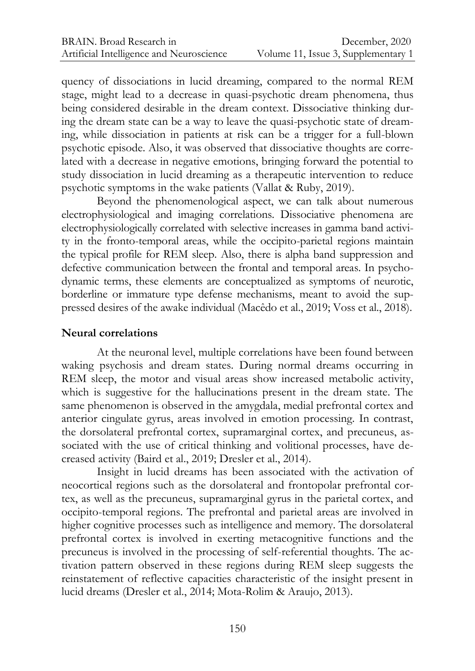quency of dissociations in lucid dreaming, compared to the normal REM stage, might lead to a decrease in quasi-psychotic dream phenomena, thus being considered desirable in the dream context. Dissociative thinking during the dream state can be a way to leave the quasi-psychotic state of dreaming, while dissociation in patients at risk can be a trigger for a full-blown psychotic episode. Also, it was observed that dissociative thoughts are correlated with a decrease in negative emotions, bringing forward the potential to study dissociation in lucid dreaming as a therapeutic intervention to reduce psychotic symptoms in the wake patients (Vallat & Ruby, 2019).

Beyond the phenomenological aspect, we can talk about numerous electrophysiological and imaging correlations. Dissociative phenomena are electrophysiologically correlated with selective increases in gamma band activity in the fronto-temporal areas, while the occipito-parietal regions maintain the typical profile for REM sleep. Also, there is alpha band suppression and defective communication between the frontal and temporal areas. In psychodynamic terms, these elements are conceptualized as symptoms of neurotic, borderline or immature type defense mechanisms, meant to avoid the suppressed desires of the awake individual (Macêdo et al., 2019; Voss et al., 2018).

### **Neural correlations**

At the neuronal level, multiple correlations have been found between waking psychosis and dream states. During normal dreams occurring in REM sleep, the motor and visual areas show increased metabolic activity, which is suggestive for the hallucinations present in the dream state. The same phenomenon is observed in the amygdala, medial prefrontal cortex and anterior cingulate gyrus, areas involved in emotion processing. In contrast, the dorsolateral prefrontal cortex, supramarginal cortex, and precuneus, associated with the use of critical thinking and volitional processes, have decreased activity (Baird et al., 2019; Dresler et al., 2014).

Insight in lucid dreams has been associated with the activation of neocortical regions such as the dorsolateral and frontopolar prefrontal cortex, as well as the precuneus, supramarginal gyrus in the parietal cortex, and occipito-temporal regions. The prefrontal and parietal areas are involved in higher cognitive processes such as intelligence and memory. The dorsolateral prefrontal cortex is involved in exerting metacognitive functions and the precuneus is involved in the processing of self-referential thoughts. The activation pattern observed in these regions during REM sleep suggests the reinstatement of reflective capacities characteristic of the insight present in lucid dreams (Dresler et al., 2014; Mota-Rolim & Araujo, 2013).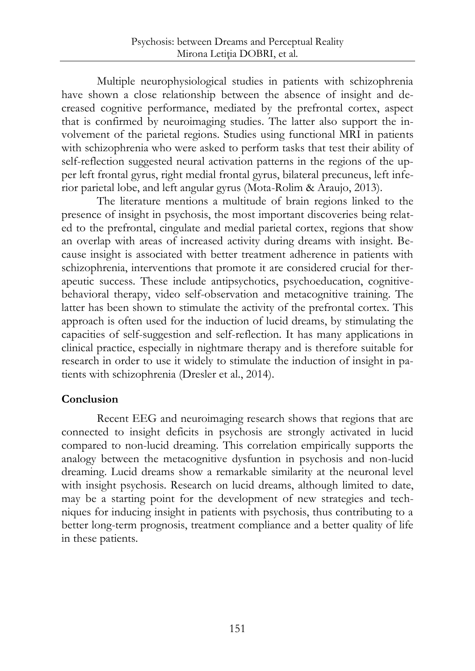Multiple neurophysiological studies in patients with schizophrenia have shown a close relationship between the absence of insight and decreased cognitive performance, mediated by the prefrontal cortex, aspect that is confirmed by neuroimaging studies. The latter also support the involvement of the parietal regions. Studies using functional MRI in patients with schizophrenia who were asked to perform tasks that test their ability of self-reflection suggested neural activation patterns in the regions of the upper left frontal gyrus, right medial frontal gyrus, bilateral precuneus, left inferior parietal lobe, and left angular gyrus (Mota-Rolim & Araujo, 2013).

The literature mentions a multitude of brain regions linked to the presence of insight in psychosis, the most important discoveries being related to the prefrontal, cingulate and medial parietal cortex, regions that show an overlap with areas of increased activity during dreams with insight. Because insight is associated with better treatment adherence in patients with schizophrenia, interventions that promote it are considered crucial for therapeutic success. These include antipsychotics, psychoeducation, cognitivebehavioral therapy, video self-observation and metacognitive training. The latter has been shown to stimulate the activity of the prefrontal cortex. This approach is often used for the induction of lucid dreams, by stimulating the capacities of self-suggestion and self-reflection. It has many applications in clinical practice, especially in nightmare therapy and is therefore suitable for research in order to use it widely to stimulate the induction of insight in patients with schizophrenia (Dresler et al., 2014).

## **Conclusion**

Recent EEG and neuroimaging research shows that regions that are connected to insight deficits in psychosis are strongly activated in lucid compared to non-lucid dreaming. This correlation empirically supports the analogy between the metacognitive dysfuntion in psychosis and non-lucid dreaming. Lucid dreams show a remarkable similarity at the neuronal level with insight psychosis. Research on lucid dreams, although limited to date, may be a starting point for the development of new strategies and techniques for inducing insight in patients with psychosis, thus contributing to a better long-term prognosis, treatment compliance and a better quality of life in these patients.